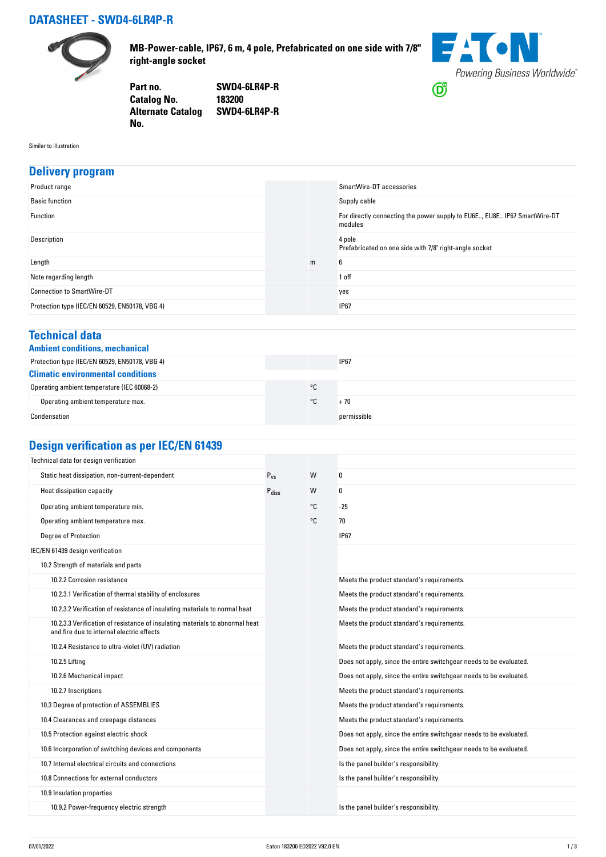## **DATASHEET - SWD4-6LR4P-R**



**MB-Power-cable, IP67, 6 m, 4 pole, Prefabricated on one side with 7/8" right-angle socket**

**EACN** Powering Business Worldwide®  $\bigcirc$ 

**Part no. SWD4-6LR4P-R Catalog No. Alternate Catalog SWD4-6LR4P-R No.** 

Similar to illustration

#### **Delivery program**

| Product range                                  |   | SmartWire-DT accessories                                                            |
|------------------------------------------------|---|-------------------------------------------------------------------------------------|
| <b>Basic function</b>                          |   | Supply cable                                                                        |
| Function                                       |   | For directly connecting the power supply to EU6E, EU8E IP67 SmartWire-DT<br>modules |
| Description                                    |   | 4 pole<br>Prefabricated on one side with 7/8" right-angle socket                    |
| Length                                         | m | 6                                                                                   |
| Note regarding length                          |   | 1 off                                                                               |
| <b>Connection to SmartWire-DT</b>              |   | yes                                                                                 |
| Protection type (IEC/EN 60529, EN50178, VBG 4) |   | <b>IP67</b>                                                                         |

#### **Technical data**

|  | <b>Ambient conditions, mechanical</b> |
|--|---------------------------------------|
|  |                                       |

| Ambient conditions, mechanical                 |    |             |  |
|------------------------------------------------|----|-------------|--|
| Protection type (IEC/EN 60529, EN50178, VBG 4) |    | <b>IP67</b> |  |
| <b>Climatic environmental conditions</b>       |    |             |  |
| Operating ambient temperature (IEC 60068-2)    | °C |             |  |
| Operating ambient temperature max.             | ۰c | + 70        |  |
| Condensation                                   |    | permissible |  |

# **Design verification as per IEC/EN 61439**

| Technical data for design verification                                                                                    |                   |    |                                                                    |
|---------------------------------------------------------------------------------------------------------------------------|-------------------|----|--------------------------------------------------------------------|
| Static heat dissipation, non-current-dependent                                                                            | $P_{VS}$          | W  | 0                                                                  |
| Heat dissipation capacity                                                                                                 | $P_{\text{diss}}$ | W  | 0                                                                  |
| Operating ambient temperature min.                                                                                        |                   | °C | $-25$                                                              |
| Operating ambient temperature max.                                                                                        |                   | °C | 70                                                                 |
| <b>Degree of Protection</b>                                                                                               |                   |    | <b>IP67</b>                                                        |
| IEC/EN 61439 design verification                                                                                          |                   |    |                                                                    |
| 10.2 Strength of materials and parts                                                                                      |                   |    |                                                                    |
| 10.2.2 Corrosion resistance                                                                                               |                   |    | Meets the product standard's requirements.                         |
| 10.2.3.1 Verification of thermal stability of enclosures                                                                  |                   |    | Meets the product standard's requirements.                         |
| 10.2.3.2 Verification of resistance of insulating materials to normal heat                                                |                   |    | Meets the product standard's requirements.                         |
| 10.2.3.3 Verification of resistance of insulating materials to abnormal heat<br>and fire due to internal electric effects |                   |    | Meets the product standard's requirements.                         |
| 10.2.4 Resistance to ultra-violet (UV) radiation                                                                          |                   |    | Meets the product standard's requirements.                         |
| 10.2.5 Lifting                                                                                                            |                   |    | Does not apply, since the entire switchgear needs to be evaluated. |
| 10.2.6 Mechanical impact                                                                                                  |                   |    | Does not apply, since the entire switchgear needs to be evaluated. |
| 10.2.7 Inscriptions                                                                                                       |                   |    | Meets the product standard's requirements.                         |
| 10.3 Degree of protection of ASSEMBLIES                                                                                   |                   |    | Meets the product standard's requirements.                         |
| 10.4 Clearances and creepage distances                                                                                    |                   |    | Meets the product standard's requirements.                         |
| 10.5 Protection against electric shock                                                                                    |                   |    | Does not apply, since the entire switchgear needs to be evaluated. |
| 10.6 Incorporation of switching devices and components                                                                    |                   |    | Does not apply, since the entire switchgear needs to be evaluated. |
| 10.7 Internal electrical circuits and connections                                                                         |                   |    | Is the panel builder's responsibility.                             |
| 10.8 Connections for external conductors                                                                                  |                   |    | Is the panel builder's responsibility.                             |
| 10.9 Insulation properties                                                                                                |                   |    |                                                                    |
| 10.9.2 Power-frequency electric strength                                                                                  |                   |    | Is the panel builder's responsibility.                             |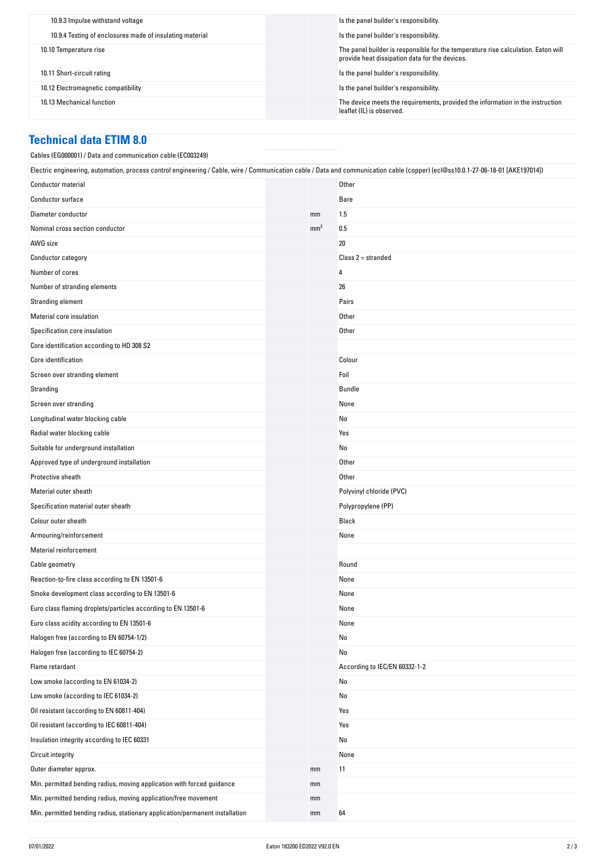| 10.9.3 Impulse withstand voltage                         | Is the panel builder's responsibility.                                                                                              |
|----------------------------------------------------------|-------------------------------------------------------------------------------------------------------------------------------------|
| 10.9.4 Testing of enclosures made of insulating material | Is the panel builder's responsibility.                                                                                              |
| 10.10 Temperature rise                                   | The panel builder is responsible for the temperature rise calculation. Eaton will<br>provide heat dissipation data for the devices. |
| 10.11 Short-circuit rating                               | Is the panel builder's responsibility.                                                                                              |
| 10.12 Electromagnetic compatibility                      | Is the panel builder's responsibility.                                                                                              |
| 10.13 Mechanical function                                | The device meets the requirements, provided the information in the instruction<br>leaflet (IL) is observed.                         |

### **Technical data ETIM 8.0**

| Cables (EG000001) / Data and communication cable (EC003249)                                                                                                                      |                 |                               |  |  |
|----------------------------------------------------------------------------------------------------------------------------------------------------------------------------------|-----------------|-------------------------------|--|--|
| Electric engineering, automation, process control engineering / Cable, wire / Communication cable / Data and communication cable (copper) (ecl@ss10.0.1-27-06-18-01 [AKE197014]) |                 |                               |  |  |
| <b>Conductor material</b>                                                                                                                                                        |                 | Other                         |  |  |
| Conductor surface                                                                                                                                                                |                 | Bare                          |  |  |
| Diameter conductor                                                                                                                                                               | mm              | 1.5                           |  |  |
| Nominal cross section conductor                                                                                                                                                  | mm <sup>2</sup> | 0.5                           |  |  |
| AWG size                                                                                                                                                                         |                 | 20                            |  |  |
| Conductor category                                                                                                                                                               |                 | $Class 2 = stranded$          |  |  |
| Number of cores                                                                                                                                                                  |                 | 4                             |  |  |
| Number of stranding elements                                                                                                                                                     |                 | 26                            |  |  |
| Stranding element                                                                                                                                                                |                 | Pairs                         |  |  |
| Material core insulation                                                                                                                                                         |                 | Other                         |  |  |
| Specification core insulation                                                                                                                                                    |                 | Other                         |  |  |
| Core identification according to HD 308 S2                                                                                                                                       |                 |                               |  |  |
| Core identification                                                                                                                                                              |                 | Colour                        |  |  |
| Screen over stranding element                                                                                                                                                    |                 | Foil                          |  |  |
| Stranding                                                                                                                                                                        |                 | Bundle                        |  |  |
| Screen over stranding                                                                                                                                                            |                 | None                          |  |  |
| Longitudinal water blocking cable                                                                                                                                                |                 | No                            |  |  |
| Radial water blocking cable                                                                                                                                                      |                 | Yes                           |  |  |
| Suitable for underground installation                                                                                                                                            |                 | No                            |  |  |
| Approved type of underground installation                                                                                                                                        |                 | Other                         |  |  |
| Protective sheath                                                                                                                                                                |                 | Other                         |  |  |
| Material outer sheath                                                                                                                                                            |                 | Polyvinyl chloride (PVC)      |  |  |
| Specification material outer sheath                                                                                                                                              |                 | Polypropylene (PP)            |  |  |
| Colour outer sheath                                                                                                                                                              |                 | Black                         |  |  |
| Armouring/reinforcement                                                                                                                                                          |                 | None                          |  |  |
| <b>Material reinforcement</b>                                                                                                                                                    |                 |                               |  |  |
| Cable geometry                                                                                                                                                                   |                 | Round                         |  |  |
| Reaction-to-fire class according to EN 13501-6                                                                                                                                   |                 | None                          |  |  |
| Smoke development class according to EN 13501-6                                                                                                                                  |                 | None                          |  |  |
| Euro class flaming droplets/particles according to EN 13501-6                                                                                                                    |                 | None                          |  |  |
| Euro class acidity according to EN 13501-6                                                                                                                                       |                 | None                          |  |  |
| Halogen free (according to EN 60754-1/2)                                                                                                                                         |                 | No                            |  |  |
| Halogen free (according to IEC 60754-2)                                                                                                                                          |                 | No                            |  |  |
| Flame retardant                                                                                                                                                                  |                 | According to IEC/EN 60332-1-2 |  |  |
| Low smoke (according to EN 61034-2)                                                                                                                                              |                 | No                            |  |  |
| Low smoke (according to IEC 61034-2)                                                                                                                                             |                 | No                            |  |  |
| Oil resistant (according to EN 60811-404)                                                                                                                                        |                 | Yes                           |  |  |
| Oil resistant (according to IEC 60811-404)                                                                                                                                       |                 | Yes                           |  |  |
| Insulation integrity according to IEC 60331                                                                                                                                      |                 | No                            |  |  |
| <b>Circuit integrity</b>                                                                                                                                                         |                 | None                          |  |  |
| Outer diameter approx.                                                                                                                                                           | mm              | 11                            |  |  |
| Min. permitted bending radius, moving application with forced guidance                                                                                                           | mm              |                               |  |  |
| Min. permitted bending radius, moving application/free movement                                                                                                                  | mm              |                               |  |  |
| Min. permitted bending radius, stationary application/permanent installation                                                                                                     | mm              | 64                            |  |  |